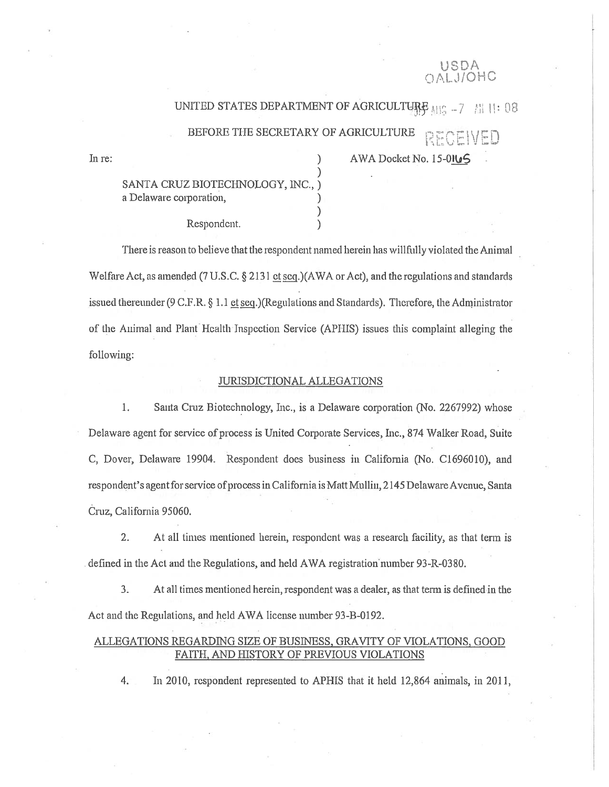# ' USDA<br>ALJ/OHC

## UNITED STATES DEPARTMENT OF AGRICULTURE  $\text{MIS} = 7$  ( )  $\text{MIS} = 11:08$

BEFORE THE SECRETARY OF AGRICULTURE RECEIVED

)

In re: (a) The Second Contract No. 15-016-6 (a) AWA Docket No. 15-016-6

•t ,

) SANTA CRUZ BIOTECHNOLOGY, INC., ) a Delaware corporation,

### Respondent.

There is reason to believe that the respondent named herein has willfully violated the Animal Welfare Act, as amended (7 U.S.C.  $\S$  2131 ct scq.)(AWA or Act), and the regulations and standards issued thereunder (9 C.F.R.  $\S$  1.1 et seq.)(Regulations and Standards). Therefore, the Administrator of the Animal and Plant Health Inspection Service (APHIS) issues this complaint alleging the following:

#### JURISDICTIONAL ALLEGATIONS

1. Santa Cruz Biotechnology, Inc., is <sup>a</sup> Delaware corporation (No. 2267992) whose Delaware agen<sup>t</sup> for service of process is United Corporate Services, Inc., 874 Walker Road, Suite C, Dover, Delaware 19904. Respondent does business in California (No, C1696010), and respondent's agent for service of process in California is Matt Mulliu, 2145 Delaware Avenue, Santa Cruz, California 95060.

2. At all times mentioned herein, respondent was <sup>a</sup> research facility, as that term is defined in the Act and the Regulations, and held AWA registration number 93-R-0380.

3. At all times mentioned herein, respondent was <sup>a</sup> dealer, as fiat term is defined in the Act and the Regulations, and held AWA license number 93-B-0192.

#### ALLEGATIONS REGARDING SIZE OF BUSINESS, GRAVITY OF VIOLATIONS, GOOD FAITH, AND HISTORY OF PREVIOUS VIOLATIONS

4. In 2010, respondent represented to APHIS that it held 12,864 animals, in 2011,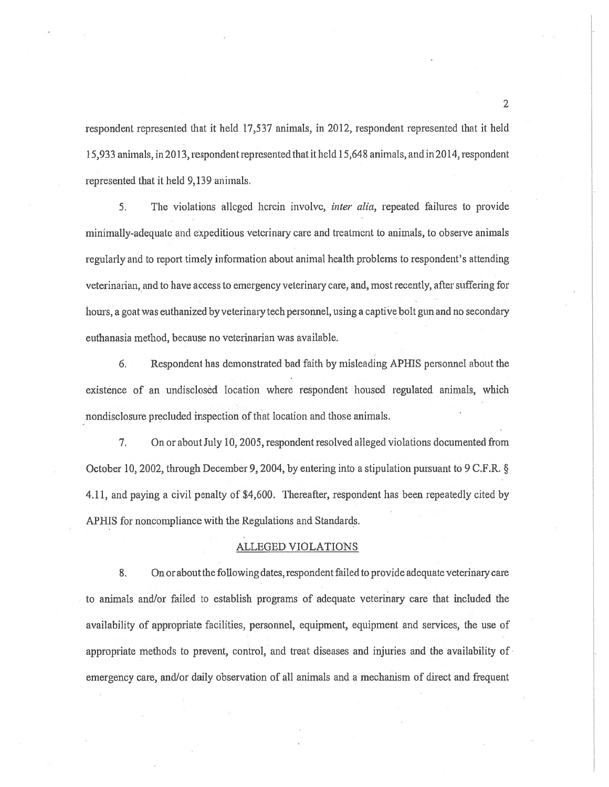respondent represented that it held 17,537 animals, in 2012, respondent represented that it held 1 5,933 animals, in 2013, respondent represented thatitheld 15,648 animals, and in2014, respondent represented that it held 9,139 animals.

5. The violations alleged herein involve, *inter alia*, repeated failures to provide minimally-adequate and expeditious veterinary care and treatment to animals, to observe animals regularly and to report timely information about animal health problems to respondent's attending veterinarian, and to have access to emergency veterinary care, and, most recently, after suffering for hours, <sup>a</sup> goa<sup>t</sup> was euthanized by veterinary tech personnel, using <sup>a</sup> captive bolt gun and no secondary euthanasia method, because no veterinarian was available.

6. Respondent has demonstrated bad faith by misleading APHIS personnel about the existence of an undisclosed location where respondent housed regulated animals, which nondisclosure precluded inspection of that location and those animals.

7. On or about July 10, 2005, respondent resolved alleged violations documented from October 10, 2002, through December 9, 2004, by entering into <sup>a</sup> stipulation pursuan<sup>t</sup> to <sup>9</sup> C.F.R. § 4.11, and paying <sup>a</sup> civil penalty of \$4,600. Thereafter, respondent has been repeatedly cited by APHIS for noncompliance with the Regulations and Standards.

#### ALLEGED VIOLATIONS

8. On or about the following dates, respondent failed to provide adequate veterinary care to animals andlor failed to establish programs of adequate veterinary care that included the availability of appropriate facilities, personnel, equipment, equipment and services, the use of appropriate methods to prevent, control, and treat diseases and injuries and the availability of emergency care, and/or daily observation of all animals and <sup>a</sup> mechanism of direct and frequent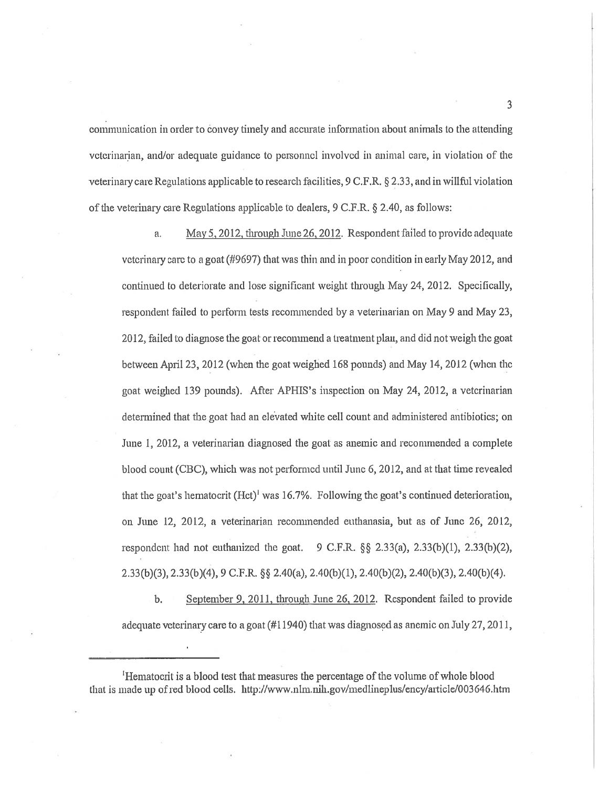communication in order to convey timely and accurate infonnation about animals to the attending veterinarian, and/or adequate guidance to personnel involved in animal care, in violation of the veterinary care Regulations applicable to research facilities, <sup>9</sup> C.F.R. § 2.33, and in willful violation of the veterinary care Regulations applicable to dealers, <sup>9</sup> C.F.R. § 2.40, as follows:

a. May 5, 2012, through June 26, 2012. Respondent failed to provide adequate veterinary care to <sup>a</sup> goa<sup>t</sup> (#9697) that was thin and in poor condition in early May 2012, and continued to deteriorate and lose significant weight through May 24, 2012. Specifically, respondent failed to perform tests recommended by <sup>a</sup> veterinarian on May 9 and May 23, 2012, failed to diagose the goa<sup>t</sup> or recommend <sup>a</sup> treatment plan, and did not weigh the goa<sup>t</sup> between April 23, 2012 (when the goa<sup>t</sup> weighed 168 pounds) and May 14, 2012 (when the goa<sup>t</sup> weighed 139 pounds). After APHIS's inspection on May 24, 2012, <sup>a</sup> veterinarian determined that the goa<sup>t</sup> had an elevated white cell count and administered antibiotics; on June 1, 2012, <sup>a</sup> veterinarian diagnosed the goa<sup>t</sup> as anemic and recommended <sup>a</sup> complete blood count (CBC), which was not performed until June 6, 2012, and at that time revealed that the goat's hematocrit  $(Hct)^{1}$  was 16.7%. Following the goat's continued deterioration, on June 12, 2012, <sup>a</sup> veterinarian recommended euthanasia, but as of June 26, 2012, respondent had not cuthanized the goat.  $9 \text{ C.F.R.}$  §  $2.33(a), 2.33(b)(1), 2.33(b)(2),$ 2.33(b)(3), 2.33(b)(4), <sup>9</sup> C.F.R. § 2.40(a), 2.40(b)(1), 2.40(b)(2), 2.40(b)(3), 2.40(b)(4).

b. September 9, 2011, through June 26, 2012, Respondent failed to provide adequate veterinary care to <sup>a</sup> goa<sup>t</sup> (#11940) that was diagnosed as anemic on July 27, 2011,

<sup>1</sup>Hematocrit is a blood test that measures the percentage of the volume of whole blood that is made up of red blood cells. http://www.nlm.nih.gov/medlineplus/ency/article/003646.htm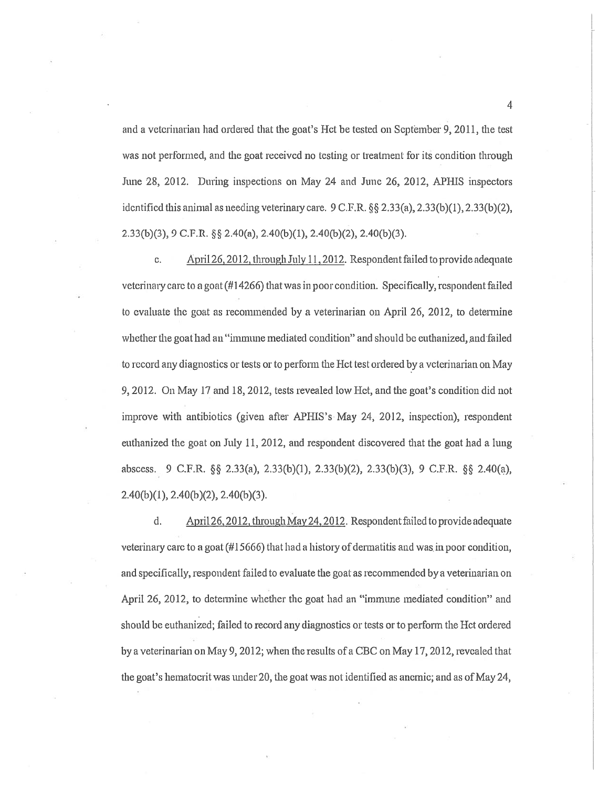and a veterinarian had ordered that the goat's Het be tested on September 9, 2011, the test was not performed, and the goa<sup>t</sup> received no testing or treatment for its condition through June 28, 2012. During inspections on May 24 and June 26, 2012, APHIS inspectors identified this animal as needing veterinary care.  $9 \text{ C.F.R.}$  §§ 2.33(a), 2.33(b)(1), 2.33(b)(2), 2.33(b)(3), <sup>9</sup> C.F.R. § 2.40(a), 2.40(b)(I), 2.40(b)(2), 2.40(b)(3).

c. April 26, 2012, through July 11, 2012. Respondent failed to provide adequate veterinary care to <sup>a</sup> goa<sup>t</sup> (#14266) that was in poor condition. Specifically, respondent failed to evaluate the goa<sup>t</sup> as recommended by <sup>a</sup> veterinarian on April 26, 2012, to determine whether the goat had an "immune mediated condition" and should be euthanized, and failed to record any diagnostics or tests or to perform the Het test ordered by a veterinarian on May 9, 2012. On May 17 and 18, 2012, tests revealed low Het, and the goat's condition did not improve with antibiotics (given after APHIS's May 24, 2012, inspection), respondent euthanized the goa<sup>t</sup> on July 11, 2012, and respondent discovered that the goa<sup>t</sup> had <sup>a</sup> lung abscess. 9 C.F.R. §§ 2.33(a), 2.33(b)(1), 2.33(b)(2), 2.33(b)(3), 9 C.F.R. §§ 2.40(a), 2.40(b)(1), 2.40(b)(2), 2.40(b)(3).

d. April 26,2012, through May24, 2012. Respondent failed to provide adequate veterinary care to <sup>a</sup> goa<sup>t</sup> (#15666) that had <sup>a</sup> history of dermatitis and was, in poor condition, and specifically, respondent failed to evaluate the goa<sup>t</sup> as recommended by <sup>a</sup> veterinarian on April 26, 2012, to determine whether the goa<sup>t</sup> had an "immune mediated condition" and should be euthanized; failed to record any diagnostics or tests or to perform the Hct ordered by <sup>a</sup> veterinarian on May 9, 2012; when the results of <sup>a</sup> CBC on May 17, 2012, revealed that the goat's hematocrit was under 20, the goat was not identified as anemic; and as of May 24,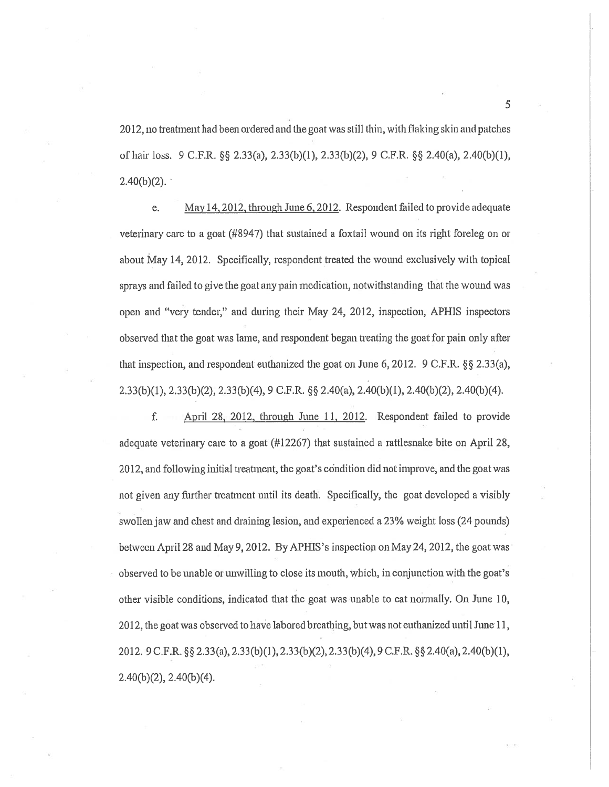2012, no treatment had been ordered and the goa<sup>t</sup> was still thin, with flaking skin and patches of hair loss. <sup>9</sup> C.F.R. § 2.33(a), 2.33(b)(1), 2.33(b)(2), <sup>9</sup> C.F.R. § 2.40(a), 2.40(b)(1),  $2.40(b)(2)$ .

e. May 14,2012, through June 6,2012. Respondent failed to provide adequate veterinary care to a goat (#8947) that sustained a foxtail wound on its right foreleg on or about May 14, 2012. Specifically, respondent treated the wound exclusively with topical sprays and failed to give the goat any pain medication, notwithstanding that the wound was open and "very tender," and during their May 24, 2012, inspection, APHIS inspectors observed that the goa<sup>t</sup> was lame, and respondent began treating the goa<sup>t</sup> for pain only after that inspection, and respondent euthanized the goat on June 6, 2012. 9 C.F.R.  $\S$  2.33(a), 2.33(b)(1), 2.33(b)(2), 2.33(b)(4), <sup>9</sup> C.F.R. § 2.40(a), 2.40(b)(1), 2.40(b)(2), 2.40(b)(4).

f. April 28, 2012, through June 11, 2012. Respondent failed to provide adequate veterinary care to <sup>a</sup> goa<sup>t</sup> (#12267) that sustained <sup>a</sup> rattlesnake bite on April 28, 2012, and following initial treatment, the goat's condition did not improve, and the goat was not given any further treatment until its death. Specifically, the goa<sup>t</sup> developed <sup>a</sup> visibly swollen jaw and chest and draining lesion, and experienced <sup>a</sup> 23% weight loss (24 pounds) between April 28 and May 9, 2012. By APHIS's inspection on May 24, 2012, the goat was observed to be unable or unwilling to close its mouth, which, in conjunction with the goat's other visible conditions, indicated that the goa<sup>t</sup> was unable to eat normally. On June 10, 2012, the goa<sup>t</sup> was observed to have labored breathing, but was not euthanized until June 11, 2012. <sup>9</sup> C.F.R. § 2.33(a), 2.33(b)(1), 2.33(b)(2), 2.33(b)(4), <sup>9</sup> C.F.R. § 2.40(a), 2.40(b)(1), 2.40(b)(2), 2.40(b)(4).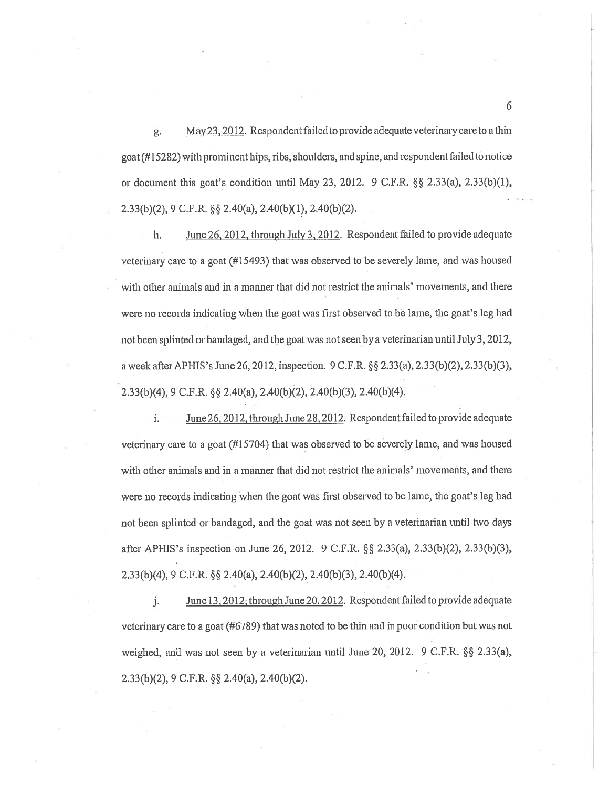g. May23, 2012. Respondent failed to provide adequate veterinary care to <sup>a</sup> thin goa<sup>t</sup> (#15282) with prominent hips, ribs, shouldcrs, and spine, and respondent failed to notice or document this goat's condition until May 23, 2012. 9 C.F.R.  $\S$  2.33(a), 2.33(b)(1), 2.33(b)(2), <sup>9</sup> C.F.R. § 2.40(a), 2.40(b)(1), 2.40(b)(2).

h. June 26, 2012, through July 3, 2012. Respondent failed to provide adequate veterinary care to <sup>a</sup> goa<sup>t</sup> (#15493) that was observed to be severely lame, and was housed with other animals and in <sup>a</sup> manner that did not restrict the animals' movements, and there were no records indicating when the goa<sup>t</sup> was first observed to be lame, the goat's leg had not been splinted or bandaged, and the goat was not seen by a veterinarian until July 3, 2012, a week after APHIS's June 26, 2012, inspection. 9 C.F.R. §§ 2.33(a), 2.33(b)(2), 2.33(b)(3), 2.33(b)(4), <sup>9</sup> C.F.R. § 2.40(a), 2.40(b)(2), 2.40(b)(3), 2.40(b)(4).

i. June 26, 2012, through June 28,2012. Respondent failed to provide adequate veterinary care to <sup>a</sup> goa<sup>t</sup> (#15704) that was observed to be severely lame, and was housed with other animals and in a manner that did not restrict the animals' movements, and there were no records indicating when the goat was first observed to be lame, the goat's leg had not been splinted or bandaged, and the goa<sup>t</sup> was not seen by <sup>a</sup> veterinarian until two days after APHIS's inspection on June 26, 2012. 9 C.F.R.  $\S$  2.33(a), 2.33(b)(2), 2.33(b)(3), 2.33(b)(4), <sup>9</sup> C.F.R. § 2.40(a), 2.40(b)(2), 2.40(b)(3), 2.40(b)(4).

j. June 13, 2012; through June 20, 2012. Respondent failed to provide adequate veterinary care to <sup>a</sup> goa<sup>t</sup> (#6789) that was noted to be thin and in poor condition but was not weighed, and was not seen by a veterinarian until June 20, 2012. 9 C.F.R. §§ 2.33(a), 2.33(b)(2), <sup>9</sup> C.F.R. § 2.40(a), 2.40(b)(2).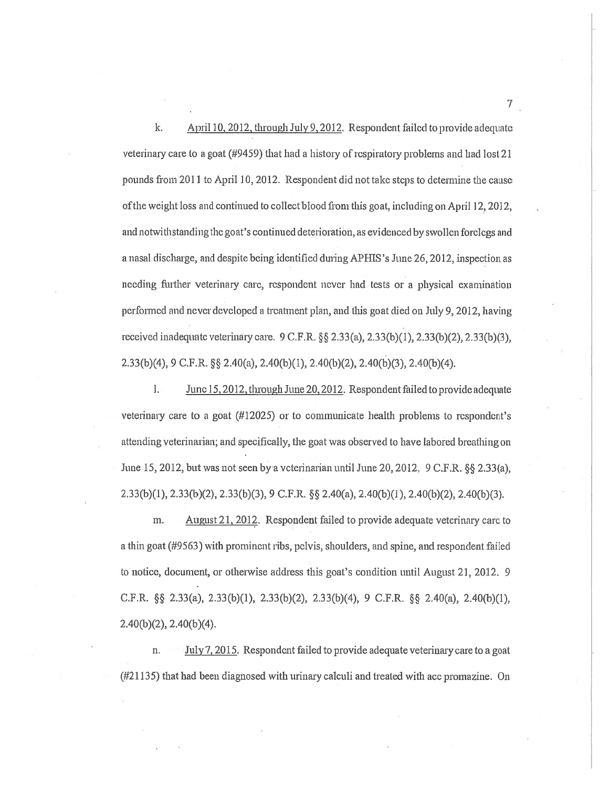k. April 10, 2012, through July 9, 2012. Respondent failed to provide adequate veterinary care to <sup>a</sup> goa<sup>t</sup> (#9459) that had <sup>a</sup> history of respiratory problems and had lost 21 pounds from 2011 to April 1 0, 2012. Respondent did not take steps to determine the cause ofthe weight loss and continued to collect blood from this goat, including on April 12, 2012, and notwithstanding the goat's continued deterioration, as evidenced by swollen forelegs and <sup>a</sup> nasal discliaige, and despite being identified during APHIS 's June 26, 2012, inspection as needing further veterinary care, respondent never had tests or <sup>a</sup> physical examination performed and never developed <sup>a</sup> treatment plan, and this goa<sup>t</sup> died on July 9, 2012, having received inadequate veterinaiy care. <sup>9</sup> C.F.R. § 2.33(a), 2.33(b)(1), 2.33(b)(2), 2.33(b)(3), 2.33(b)(4), <sup>9</sup> C.F.R. § 2.40(a), 2.40(b)(1), 2.40(b)(2), 2.40(b)(3), 2.40(b)(4).

1. June 15,2012, through June 20,2012. Respondent failed to provide adequate veterinary care to <sup>a</sup> goa<sup>t</sup> (#12025) or to communicate health problems to respondent's attending veterinarian; and specifically, the goa<sup>t</sup> was observed to have labored breathing on June 15, 2012, but was not seen by a veterinarian until June 20, 2012. 9 C.F.R. §§ 2.33(a), 2.33(b)(1), 2.33(b)(2), 2.33(b)(3), <sup>9</sup> C.F.R. § 2.40(a), 2.40(b)(1), 2.40(b)(2), 2.40(b)(3).

m. August 21, 2012. Respondent failed to provide adequate veterinary care to <sup>a</sup> thin goa<sup>t</sup> (#9563) with prominent ribs, pelvis, shoulders, and spine, and respondent failed to notice, document, or otherwise address this goat's condition until August 21, 2012. 9 C.F.R.  $\S$  2.33(a), 2.33(b)(1), 2.33(b)(2), 2.33(b)(4), 9 C.F.R.  $\S$  2.40(a), 2.40(b)(1), 2.40(b)(2), 2.40(b)(4).

n. July 7, 2015. Respondent failed to provide adequate veterinary care to <sup>a</sup> goa<sup>t</sup> (#2 1135) that had been diagnosed with urinary calculi and treated with ace promazine. On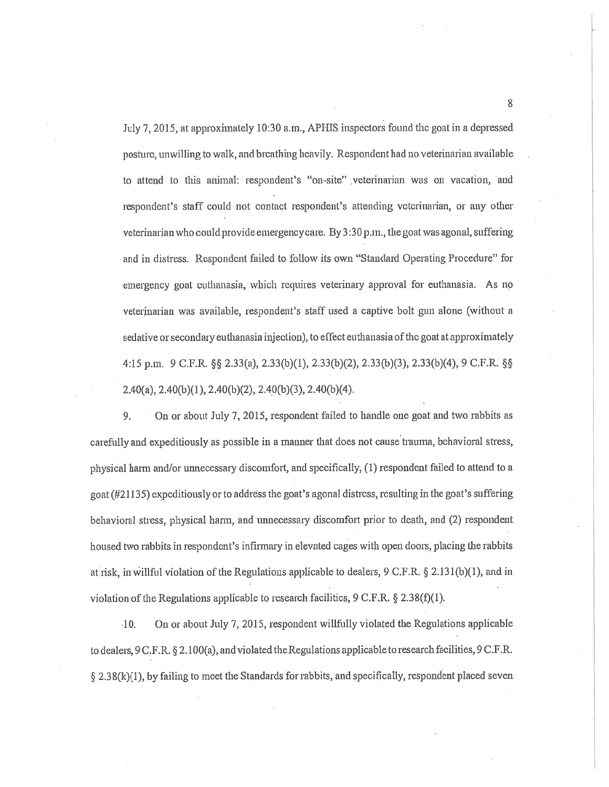July 7, 2015, at approximately 10:30 a.m., APHIS inspectors found the goat in a depressed posture, unwilling to walk, and breathing heavily. Respondent had no veterinarian available to attend to this animal: respondent's "on-site" veterinarian was on vacation, and respondent's staff could not contact respondent's attending veterinarian, or any other veterinarian who could provide emergency care. By  $3:30$  p.m., the goat was agonal, suffering and in distress. Respondent failed to follow its own "Standard Operating Procedure" for emergency goa<sup>t</sup> euthanasia, which requires veterinary approval for euthanasia. As no veterinarian was available, respondent's staff used a captive bolt gun alone (without a sedative or secondary euthanasia injection), to effect euthanasia of the goat at approximately 4:15 p.m. 9 C.F.R.  $\S$  2.33(a), 2.33(b)(1), 2.33(b)(2), 2.33(b)(3), 2.33(b)(4), 9 C.F.R.  $\S$  $2.40(a)$ ,  $2.40(b)(1)$ ,  $2.40(b)(2)$ ,  $2.40(b)(3)$ ,  $2.40(b)(4)$ .

9. On or about July 7, 2015, respondent failed to handle one goat and two rabbits as carefully and expeditiously as possible in <sup>a</sup> manner that does not cause trauma, behavioral stress, <sup>p</sup>hysical harm and/or unnecessary discomfort, and specifically, (I) respondent failed to attend to <sup>a</sup> goa<sup>t</sup> (#21135) expeditiously or to addrss the goat's agona<sup>l</sup> distress, resulting in the goat's suffering behavioral stress, physical harm, and unnecessary discomfort prior to death, and (2) respondent housed two rabbits in respondent's infirmary in elevated cages with open doors, <sup>p</sup>lacing the rabbits at risk, in willful violation of the Regulations applicable to dealers,  $9 \text{ C.F.R.}$  § 2.131(b)(1), and in violation of the Regulations applicable to research facilities,  $9 \text{ C.F.R. } \S 2.38(f)(1)$ .

-10. On or about July 7, 2015, respondent willfully violated the Regulations applicable to dealers, <sup>9</sup> C.F. R. § 2.100(a), and violated the Regulations applicable to research facilities, <sup>9</sup> C.F.R. § 2.38(k)(1), by failing to meet the Standards for rabbits, and specifically, respondent <sup>p</sup>laced seven